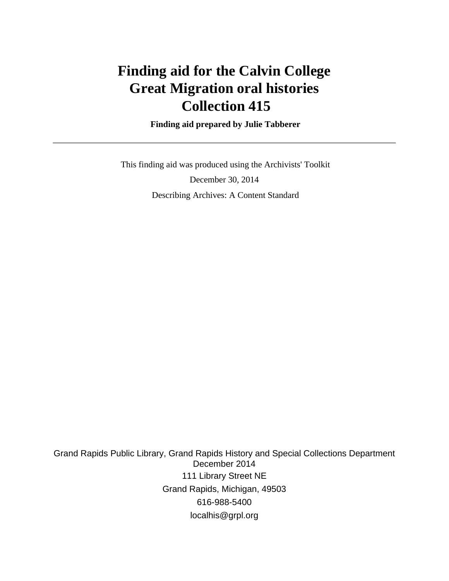# **Finding aid for the Calvin College Great Migration oral histories Collection 415**

 **Finding aid prepared by Julie Tabberer**

 This finding aid was produced using the Archivists' Toolkit December 30, 2014 Describing Archives: A Content Standard

Grand Rapids Public Library, Grand Rapids History and Special Collections Department December 2014 111 Library Street NE Grand Rapids, Michigan, 49503 616-988-5400 localhis@grpl.org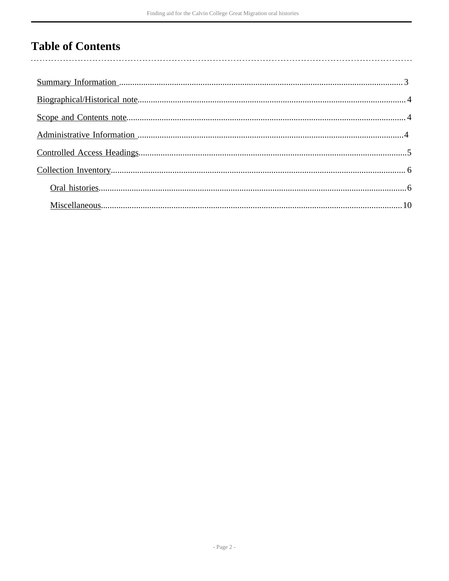## **Table of Contents**

 $\overline{\phantom{a}}$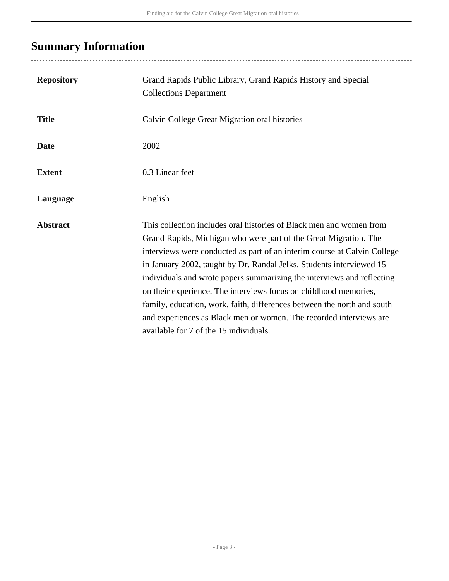# <span id="page-2-0"></span>**Summary Information**

..................................

| <b>Repository</b> | Grand Rapids Public Library, Grand Rapids History and Special<br><b>Collections Department</b>                                                                                                                                                                                                                                                                                                                                                                                                                                                                                                                                       |
|-------------------|--------------------------------------------------------------------------------------------------------------------------------------------------------------------------------------------------------------------------------------------------------------------------------------------------------------------------------------------------------------------------------------------------------------------------------------------------------------------------------------------------------------------------------------------------------------------------------------------------------------------------------------|
| <b>Title</b>      | Calvin College Great Migration oral histories                                                                                                                                                                                                                                                                                                                                                                                                                                                                                                                                                                                        |
| <b>Date</b>       | 2002                                                                                                                                                                                                                                                                                                                                                                                                                                                                                                                                                                                                                                 |
| <b>Extent</b>     | 0.3 Linear feet                                                                                                                                                                                                                                                                                                                                                                                                                                                                                                                                                                                                                      |
| Language          | English                                                                                                                                                                                                                                                                                                                                                                                                                                                                                                                                                                                                                              |
| <b>Abstract</b>   | This collection includes oral histories of Black men and women from<br>Grand Rapids, Michigan who were part of the Great Migration. The<br>interviews were conducted as part of an interim course at Calvin College<br>in January 2002, taught by Dr. Randal Jelks. Students interviewed 15<br>individuals and wrote papers summarizing the interviews and reflecting<br>on their experience. The interviews focus on childhood memories,<br>family, education, work, faith, differences between the north and south<br>and experiences as Black men or women. The recorded interviews are<br>available for 7 of the 15 individuals. |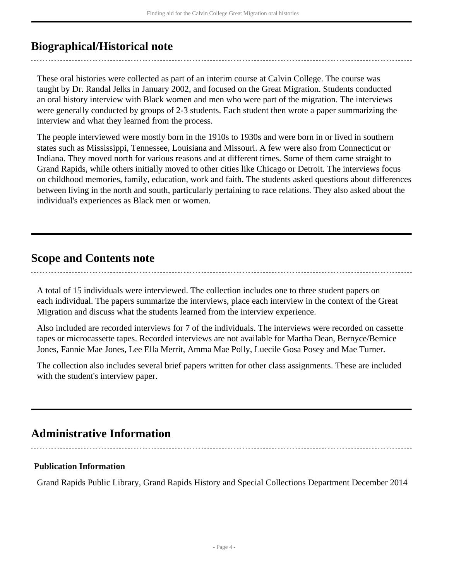## <span id="page-3-0"></span>**Biographical/Historical note**

These oral histories were collected as part of an interim course at Calvin College. The course was taught by Dr. Randal Jelks in January 2002, and focused on the Great Migration. Students conducted an oral history interview with Black women and men who were part of the migration. The interviews were generally conducted by groups of 2-3 students. Each student then wrote a paper summarizing the interview and what they learned from the process.

The people interviewed were mostly born in the 1910s to 1930s and were born in or lived in southern states such as Mississippi, Tennessee, Louisiana and Missouri. A few were also from Connecticut or Indiana. They moved north for various reasons and at different times. Some of them came straight to Grand Rapids, while others initially moved to other cities like Chicago or Detroit. The interviews focus on childhood memories, family, education, work and faith. The students asked questions about differences between living in the north and south, particularly pertaining to race relations. They also asked about the individual's experiences as Black men or women.

### <span id="page-3-1"></span>**Scope and Contents note**

A total of 15 individuals were interviewed. The collection includes one to three student papers on each individual. The papers summarize the interviews, place each interview in the context of the Great Migration and discuss what the students learned from the interview experience.

Also included are recorded interviews for 7 of the individuals. The interviews were recorded on cassette tapes or microcassette tapes. Recorded interviews are not available for Martha Dean, Bernyce/Bernice Jones, Fannie Mae Jones, Lee Ella Merrit, Amma Mae Polly, Luecile Gosa Posey and Mae Turner.

The collection also includes several brief papers written for other class assignments. These are included with the student's interview paper.

## <span id="page-3-2"></span>**Administrative Information**

#### **Publication Information**

Grand Rapids Public Library, Grand Rapids History and Special Collections Department December 2014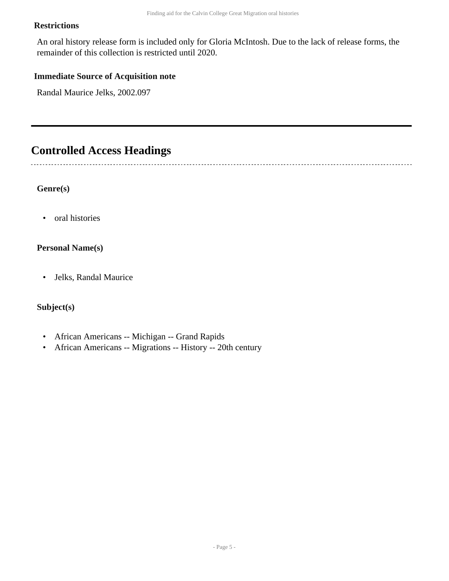#### **Restrictions**

An oral history release form is included only for Gloria McIntosh. Due to the lack of release forms, the remainder of this collection is restricted until 2020.

#### **Immediate Source of Acquisition note**

Randal Maurice Jelks, 2002.097

### <span id="page-4-0"></span>**Controlled Access Headings**

**Genre(s)**

• oral histories

#### **Personal Name(s)**

• Jelks, Randal Maurice

#### **Subject(s)**

- African Americans -- Michigan -- Grand Rapids
- African Americans -- Migrations -- History -- 20th century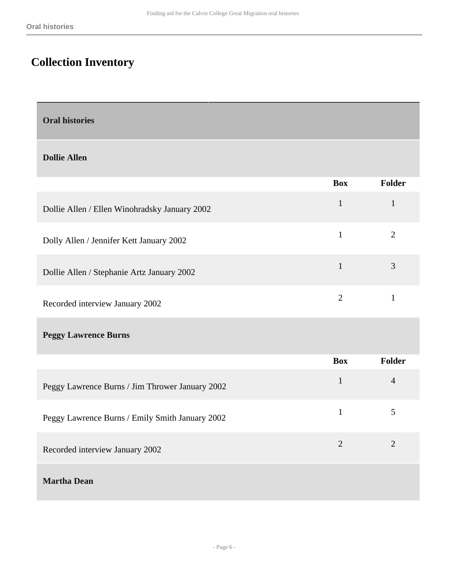# <span id="page-5-0"></span>**Collection Inventory**

<span id="page-5-1"></span>

| <b>Oral histories</b> |  |
|-----------------------|--|
|-----------------------|--|

#### **Dollie Allen**

|                                                 | <b>Box</b>     | Folder         |
|-------------------------------------------------|----------------|----------------|
| Dollie Allen / Ellen Winohradsky January 2002   | $\mathbf{1}$   | $\mathbf{1}$   |
| Dolly Allen / Jennifer Kett January 2002        | $\mathbf{1}$   | $\overline{2}$ |
| Dollie Allen / Stephanie Artz January 2002      | $\mathbf{1}$   | 3              |
| Recorded interview January 2002                 | $\overline{2}$ | $\mathbf{1}$   |
| <b>Peggy Lawrence Burns</b>                     |                |                |
|                                                 | <b>Box</b>     | Folder         |
| Peggy Lawrence Burns / Jim Thrower January 2002 | $\mathbf{1}$   | $\overline{4}$ |
| Peggy Lawrence Burns / Emily Smith January 2002 | $\mathbf{1}$   | 5              |
| Recorded interview January 2002                 | $\overline{2}$ | $\overline{2}$ |
| <b>Martha Dean</b>                              |                |                |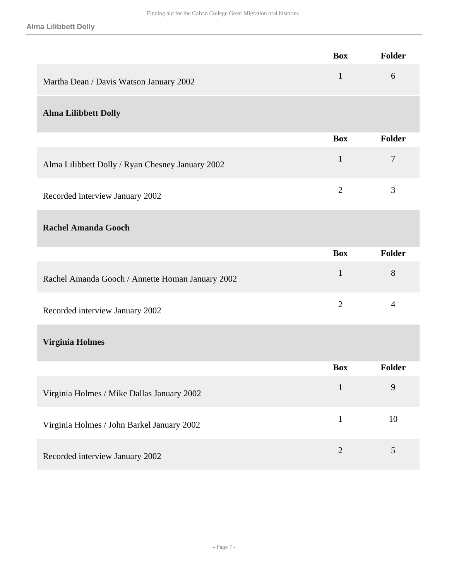|                                                  | <b>Box</b>     | Folder         |
|--------------------------------------------------|----------------|----------------|
| Martha Dean / Davis Watson January 2002          | $\mathbf{1}$   | 6              |
| <b>Alma Lilibbett Dolly</b>                      |                |                |
|                                                  | <b>Box</b>     | <b>Folder</b>  |
| Alma Lilibbett Dolly / Ryan Chesney January 2002 | $\mathbf{1}$   | 7              |
| Recorded interview January 2002                  | $\overline{2}$ | 3              |
| <b>Rachel Amanda Gooch</b>                       |                |                |
|                                                  | <b>Box</b>     | Folder         |
| Rachel Amanda Gooch / Annette Homan January 2002 | $\mathbf{1}$   | 8              |
| Recorded interview January 2002                  | $\overline{2}$ | $\overline{4}$ |
| <b>Virginia Holmes</b>                           |                |                |
|                                                  | <b>Box</b>     | <b>Folder</b>  |
| Virginia Holmes / Mike Dallas January 2002       | $\mathbf{1}$   | 9              |
| Virginia Holmes / John Barkel January 2002       | $\mathbf{1}$   | 10             |
| Recorded interview January 2002                  | $\overline{2}$ | $\mathfrak{S}$ |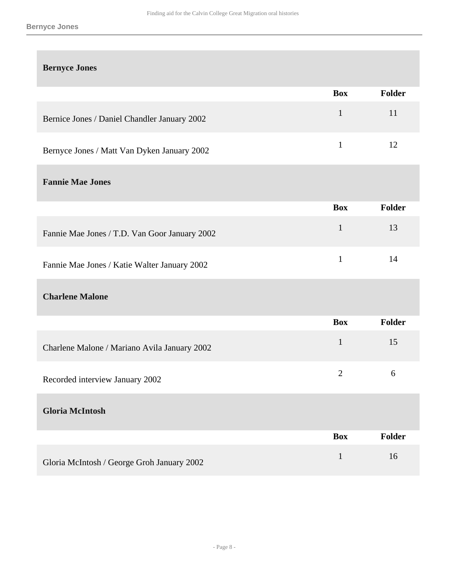| <b>Bernyce Jones</b>                          |              |                  |
|-----------------------------------------------|--------------|------------------|
|                                               | <b>Box</b>   | Folder           |
| Bernice Jones / Daniel Chandler January 2002  | $\mathbf{1}$ | 11               |
| Bernyce Jones / Matt Van Dyken January 2002   | $\mathbf{1}$ | 12               |
| <b>Fannie Mae Jones</b>                       |              |                  |
|                                               | <b>Box</b>   | <b>Folder</b>    |
| Fannie Mae Jones / T.D. Van Goor January 2002 | $\mathbf{1}$ | 13               |
| Fannie Mae Jones / Katie Walter January 2002  | $\mathbf{1}$ | 14               |
| <b>Charlene Malone</b>                        |              |                  |
|                                               | <b>Box</b>   | <b>Folder</b>    |
| Charlene Malone / Mariano Avila January 2002  | $\mathbf{1}$ | 15               |
| Recorded interview January 2002               | $\mathbf{2}$ | $\boldsymbol{6}$ |
| <b>Gloria McIntosh</b>                        |              |                  |
|                                               | <b>Box</b>   | <b>Folder</b>    |
| Gloria McIntosh / George Groh January 2002    | $\mathbf{1}$ | 16               |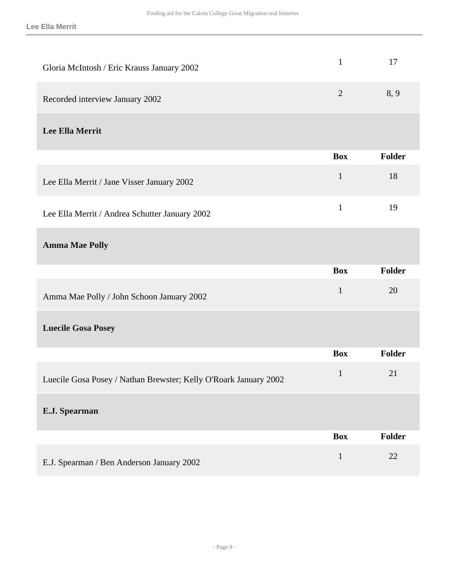| Gloria McIntosh / Eric Krauss January 2002                       | $\mathbf{1}$   | 17            |
|------------------------------------------------------------------|----------------|---------------|
| Recorded interview January 2002                                  | $\overline{2}$ | 8, 9          |
| <b>Lee Ella Merrit</b>                                           |                |               |
|                                                                  | <b>Box</b>     | <b>Folder</b> |
| Lee Ella Merrit / Jane Visser January 2002                       | $\mathbf{1}$   | 18            |
| Lee Ella Merrit / Andrea Schutter January 2002                   | $\mathbf{1}$   | 19            |
| <b>Amma Mae Polly</b>                                            |                |               |
|                                                                  |                |               |
|                                                                  | <b>Box</b>     | <b>Folder</b> |
| Amma Mae Polly / John Schoon January 2002                        | $\mathbf{1}$   | 20            |
| <b>Luecile Gosa Posey</b>                                        |                |               |
|                                                                  | <b>Box</b>     | <b>Folder</b> |
| Luecile Gosa Posey / Nathan Brewster; Kelly O'Roark January 2002 | $\mathbf{1}$   | 21            |
| E.J. Spearman                                                    |                |               |
|                                                                  | <b>Box</b>     | Folder        |